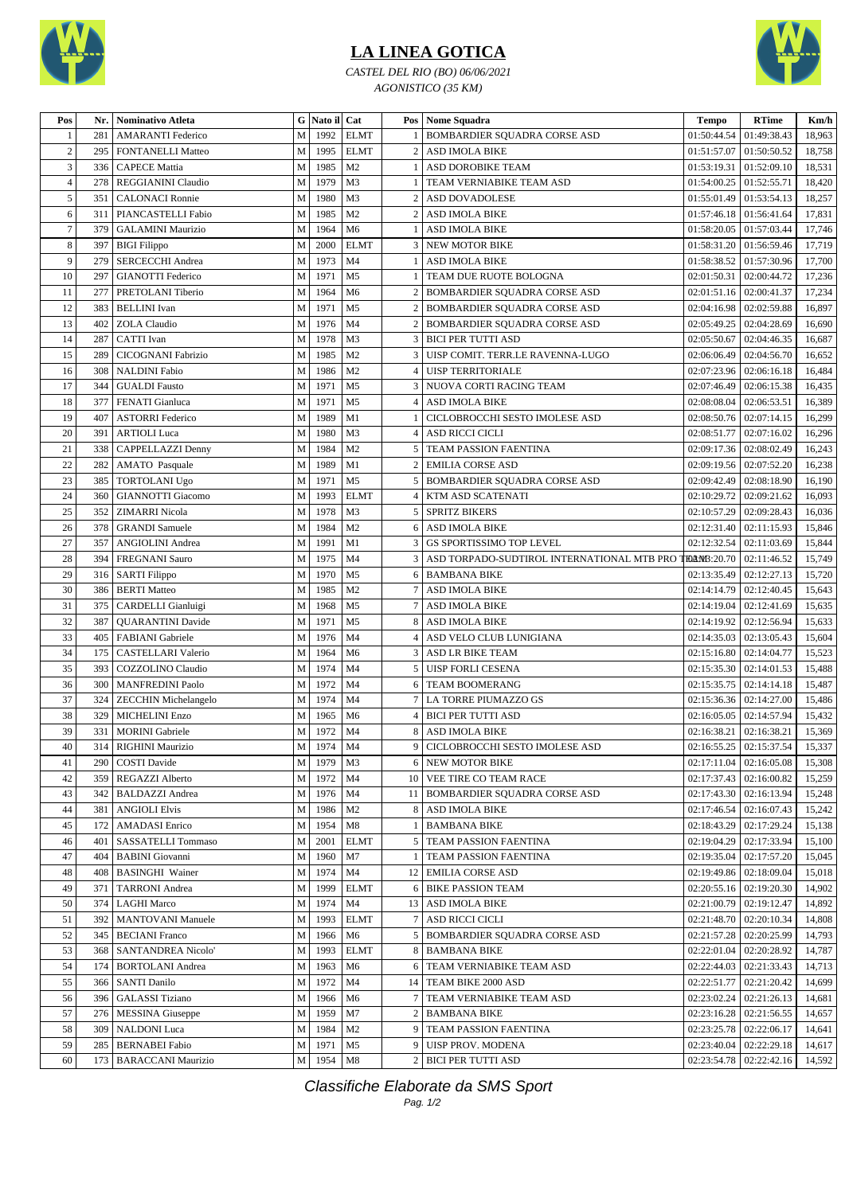

## **LA LINEA GOTICA**

*CASTEL DEL RIO (BO) 06/06/2021 AGONISTICO (35 KM)*



| M<br>1992<br><b>ELMT</b><br>01:49:38.43<br>18,963<br>281<br>BOMBARDIER SQUADRA CORSE ASD<br>01:50:44.54<br><b>AMARANTI</b> Federico<br>$\overline{c}$<br>1995<br><b>ELMT</b><br>2 ASD IMOLA BIKE<br>295<br>M<br>01:51:57.07<br>01:50:50.52<br>18,758<br><b>FONTANELLI Matteo</b><br>3<br><b>CAPECE Mattia</b><br>M<br>1985<br>M <sub>2</sub><br>ASD DOROBIKE TEAM<br>01:53:19.31<br>01:52:09.10<br>18,531<br>336<br>REGGIANINI Claudio<br>M<br>1979<br>M <sub>3</sub><br>TEAM VERNIABIKE TEAM ASD<br>01:52:55.71<br>18,420<br>278<br>01:54:00.25<br>4<br>1980<br>5<br>351<br><b>CALONACI Ronnie</b><br>M<br>M <sub>3</sub><br>ASD DOVADOLESE<br>01:55:01.49<br>01:53:54.13<br>18,257<br>$\overline{c}$<br>1985<br>M <sub>2</sub><br>6<br>311<br>PIANCASTELLI Fabio<br>M<br><b>ASD IMOLA BIKE</b><br>01:56:41.64<br>17,831<br>2<br>01:57:46.18<br>$\tau$<br>M6<br>17,746<br>379<br>M<br>1964<br>01:57:03.44<br><b>GALAMINI Maurizio</b><br>ASD IMOLA BIKE<br>01:58:20.05<br>1<br>8<br>397<br>2000<br><b>ELMT</b><br>01:56:59.46<br>17,719<br><b>BIGI</b> Filippo<br>M<br><b>3 NEW MOTOR BIKE</b><br>01:58:31.20<br>9<br>1973<br>279<br><b>SERCECCHI</b> Andrea<br>M<br>M <sub>4</sub><br><b>ASD IMOLA BIKE</b><br>01:58:38.52<br>01:57:30.96<br>17,700<br>1<br>10<br>M<br>1971<br>17,236<br>297<br><b>GIANOTTI Federico</b><br>M <sub>5</sub><br>TEAM DUE RUOTE BOLOGNA<br>02:01:50.31<br>02:00:44.72<br>1<br>11<br>M<br>1964<br><b>BOMBARDIER SQUADRA CORSE ASD</b><br>02:00:41.37<br>17,234<br>277<br>PRETOLANI Tiberio<br>M <sub>6</sub><br>02:01:51.16<br>2<br>12<br>1971<br>M <sub>5</sub><br>383<br><b>BELLINI</b> Ivan<br>M<br>2 BOMBARDIER SQUADRA CORSE ASD<br>02:02:59.88<br>16,897<br>02:04:16.98<br>13<br>M <sub>4</sub><br>402<br><b>ZOLA</b> Claudio<br>M<br>1976<br>2 BOMBARDIER SQUADRA CORSE ASD<br>02:05:49.25<br>02:04:28.69<br>16,690<br>14<br>1978<br>M <sub>3</sub><br>287<br><b>CATTI</b> Ivan<br>M<br>3   BICI PER TUTTI ASD<br>02:05:50.67<br>02:04:46.35<br>16,687<br>15<br>M <sub>2</sub><br>CICOGNANI Fabrizio<br>M<br>1985<br>3   UISP COMIT. TERR.LE RAVENNA-LUGO<br>02:04:56.70<br>289<br>02:06:06.49<br>16,652<br>16<br>308<br><b>NALDINI Fabio</b><br>M<br>1986<br>M <sub>2</sub><br><b>UISP TERRITORIALE</b><br>02:07:23.96<br>02:06:16.18<br>16,484<br>$\overline{4}$<br>17<br>1971<br>344<br><b>GUALDI</b> Fausto<br>M<br>M <sub>5</sub><br>NUOVA CORTI RACING TEAM<br>02:07:46.49<br>02:06:15.38<br>16,435<br>3<br>18<br>M<br>1971<br>377<br>M <sub>5</sub><br>02:06:53.51<br>16,389<br><b>FENATI</b> Gianluca<br>4<br><b>ASD IMOLA BIKE</b><br>02:08:08.04<br>19<br>407<br>M<br>1989<br>M1<br>CICLOBROCCHI SESTO IMOLESE ASD<br>02:07:14.15<br>16,299<br><b>ASTORRI Federico</b><br>02:08:50.76<br>20<br>M <sub>3</sub><br>16,296<br>391<br><b>ARTIOLI</b> Luca<br>M<br>1980<br><b>ASD RICCI CICLI</b><br>02:08:51.77<br>02:07:16.02<br>4<br>21<br>338<br>CAPPELLAZZI Denny<br>M<br>1984<br>M <sub>2</sub><br>5 TEAM PASSION FAENTINA<br>02:09:17.36<br>02:08:02.49<br>16,243<br>22<br>M<br>1989<br>M1<br>2 EMILIA CORSE ASD<br>02:09:19.56<br>02:07:52.20<br>16,238<br>282<br><b>AMATO</b> Pasquale<br>23<br>1971<br>M <sub>5</sub><br>16,190<br>385<br><b>TORTOLANI Ugo</b><br>M<br>5<br><b>BOMBARDIER SQUADRA CORSE ASD</b><br>02:09:42.49<br>02:08:18.90<br>1993<br>24<br>360<br><b>GIANNOTTI Giacomo</b><br>M<br><b>ELMT</b><br>KTM ASD SCATENATI<br>02:10:29.72<br>02:09:21.62<br>16,093<br>4<br>25<br>1978<br>M <sub>3</sub><br>352<br><b>ZIMARRI</b> Nicola<br>M<br>5 SPRITZ BIKERS<br>02:10:57.29<br>02:09:28.43<br>16,036<br>26<br>1984<br>M <sub>2</sub><br>15,846<br>378<br>M<br>02:12:31.40<br>02:11:15.93<br><b>GRANDI</b> Samuele<br>6 ASD IMOLA BIKE<br>27<br><b>ANGIOLINI</b> Andrea<br>M<br>1991<br>M1<br><b>GS SPORTISSIMO TOP LEVEL</b><br>02:12:32.54<br>02:11:03.69<br>15,844<br>357<br>3<br>28<br>1975<br>M <sub>4</sub><br>FOANB:20.70<br>02:11:46.52<br>394<br><b>FREGNANI</b> Sauro<br>M<br>ASD TORPADO-SUDTIROL INTERNATIONAL MTB PRO T<br>15,749<br>29<br>M<br>1970<br>M <sub>5</sub><br>15,720<br>316<br><b>SARTI Filippo</b><br>6 BAMBANA BIKE<br>02:13:35.49<br>02:12:27.13<br>30<br>386<br><b>BERTI</b> Matteo<br>M<br>1985<br>M <sub>2</sub><br>02:12:40.45<br>15,643<br>7<br>ASD IMOLA BIKE<br>02:14:14.79<br>31<br>375<br>1968<br>M <sub>5</sub><br>M<br>02:12:41.69<br>15,635<br>CARDELLI Gianluigi<br>7<br>ASD IMOLA BIKE<br>02:14:19.04<br>32<br>387<br>M <sub>5</sub><br><b>QUARANTINI</b> Davide<br>1971<br><b>ASD IMOLA BIKE</b><br>02:12:56.94<br>15,633<br>M<br>8<br>02:14:19.92<br>33<br>1976<br>15,604<br>405<br><b>FABIANI</b> Gabriele<br>M<br>M <sub>4</sub><br>ASD VELO CLUB LUNIGIANA<br>02:14:35.03<br>02:13:05.43<br>4<br>34<br>CASTELLARI Valerio<br>M<br>1964<br>M <sub>6</sub><br>02:14:04.77<br>15,523<br>175<br>3 ASD LR BIKE TEAM<br>02:15:16.80<br>35<br>393<br>COZZOLINO Claudio<br>M<br>1974<br>M4<br><b>UISP FORLI CESENA</b><br>02:15:35.30<br>02:14:01.53<br>15,488<br>5<br>36<br>M<br>1972<br>15,487<br>300<br><b>MANFREDINI Paolo</b><br>M <sub>4</sub><br><b>TEAM BOOMERANG</b><br>02:15:35.75<br>02:14:14.18<br>6<br>37<br>1974<br>324<br>M<br>M <sub>4</sub><br>7   LA TORRE PIUMAZZO GS<br>02:14:27.00<br>15,486<br><b>ZECCHIN Michelangelo</b><br>02:15:36.36<br>38<br>329<br>M<br>1965<br>M <sub>6</sub><br>4 BICI PER TUTTI ASD<br>02:14:57.94<br>15,432<br><b>MICHELINI Enzo</b><br>02:16:05.05<br>39<br>1972<br>M <sub>4</sub><br>$02:16:38.21$ 02:16:38.21<br>15,369<br>331<br><b>MORINI</b> Gabriele<br>М<br>8 ASD IMOLA BIKE<br>M 1974 M4<br>$40\,$<br>$02:16:55.25$ 02:15:37.54<br>15,337<br>314 RIGHINI Maurizio<br>9 CICLOBROCCHI SESTO IMOLESE ASD<br>41<br>1979<br><b>6 NEW MOTOR BIKE</b><br>$02:17:11.04$   $02:16:05.08$<br>290<br><b>COSTI Davide</b><br>M<br>M3<br>15,308<br>M<br>1972<br>10 VEE TIRE CO TEAM RACE<br>02:17:37.43<br>02:16:00.82<br>15,259<br>42<br>359<br>REGAZZI Alberto<br>M4<br>1976<br>11   BOMBARDIER SQUADRA CORSE ASD<br>02:17:43.30   02:16:13.94<br>43<br>342<br><b>BALDAZZI</b> Andrea<br>M<br>M4<br>15,248<br>44<br>381<br><b>ANGIOLI Elvis</b><br>M<br>1986<br>M <sub>2</sub><br>8 ASD IMOLA BIKE<br>$02:17:46.54$   $02:16:07.43$<br>15,242<br>45<br><b>AMADASI</b> Enrico<br>1954<br>M8<br>1 BAMBANA BIKE<br>02:18:43.29   02:17:29.24<br>15,138<br>172<br>M<br>2001<br>5 TEAM PASSION FAENTINA<br>02:19:04.29   02:17:33.94<br>15,100<br>46<br>401<br><b>SASSATELLI Tommaso</b><br>М<br><b>ELMT</b><br>47<br><b>BABINI</b> Giovanni<br>M<br>1960<br>M7<br>TEAM PASSION FAENTINA<br>02:19:35.04   02:17:57.20<br>15,045<br>404<br>48<br><b>BASINGHI</b> Wainer<br>М<br>1974<br>12   EMILIA CORSE ASD<br>02:19:49.86   02:18:09.04<br>15,018<br>408<br>M4<br>49<br><b>TARRONI</b> Andrea<br>М<br>1999<br><b>ELMT</b><br>6 BIKE PASSION TEAM<br>02:20:55.16<br>02:19:20.30<br>14,902<br>371<br>50<br>M<br>1974 M4<br>374<br><b>LAGHI Marco</b><br>13 ASD IMOLA BIKE<br>$02:21:00.79$   $02:19:12.47$<br>14,892<br>51<br><b>MANTOVANI</b> Manuele<br>1993<br>7 ASD RICCI CICLI<br>02:21:48.70   02:20:10.34<br>14,808<br>392<br>М<br><b>ELMT</b><br>52<br>345<br><b>BECIANI</b> Franco<br>M<br>M6<br>5 BOMBARDIER SQUADRA CORSE ASD<br>02:21:57.28<br>02:20:25.99<br>14,793<br>1966<br><b>SANTANDREA Nicolo'</b><br>М<br>1993<br><b>ELMT</b><br>8 BAMBANA BIKE<br>02:22:01.04   02:20:28.92<br>53<br>368<br>14,787<br><b>BORTOLANI</b> Andrea<br>6 TEAM VERNIABIKE TEAM ASD<br>02:22:44.03<br> 02:21:33.43<br>54<br>174<br>М<br>1963<br>M6<br>14,713<br>55<br><b>SANTI Danilo</b><br>M<br>1972<br>14   TEAM BIKE 2000 ASD<br>02:22:51.77<br>02:21:20.42<br>366<br>M4<br>14,699<br><b>GALASSI</b> Tiziano<br>M<br>7 TEAM VERNIABIKE TEAM ASD<br>02:21:26.13<br>56<br>396<br>1966<br>02:23:02.24<br>14,681<br>M6<br>57<br>276<br>MESSINA Giuseppe<br>M<br>1959<br>2 BAMBANA BIKE<br>02:23:16.28   02:21:56.55<br>M7<br>14,657<br>58<br><b>NALDONI</b> Luca<br>1984<br>M <sub>2</sub><br>9 TEAM PASSION FAENTINA<br>02:23:25.78   02:22:06.17<br>14,641<br>309<br>M  <br>59<br><b>BERNABEI</b> Fabio<br>M<br>1971<br>9 UISP PROV. MODENA<br>02:23:40.04   02:22:29.18<br>285<br>M <sub>5</sub><br>14,617<br>M 1954 M8<br>2 BICI PER TUTTI ASD<br>02:23:54.78   02:22:42.16<br>173   BARACCANI Maurizio | Pos | Nr. | <b>Nominativo Atleta</b> | G Nato il Cat |  | Pos   Nome Squadra | <b>Tempo</b> | <b>RTime</b> | Km/h   |
|--------------------------------------------------------------------------------------------------------------------------------------------------------------------------------------------------------------------------------------------------------------------------------------------------------------------------------------------------------------------------------------------------------------------------------------------------------------------------------------------------------------------------------------------------------------------------------------------------------------------------------------------------------------------------------------------------------------------------------------------------------------------------------------------------------------------------------------------------------------------------------------------------------------------------------------------------------------------------------------------------------------------------------------------------------------------------------------------------------------------------------------------------------------------------------------------------------------------------------------------------------------------------------------------------------------------------------------------------------------------------------------------------------------------------------------------------------------------------------------------------------------------------------------------------------------------------------------------------------------------------------------------------------------------------------------------------------------------------------------------------------------------------------------------------------------------------------------------------------------------------------------------------------------------------------------------------------------------------------------------------------------------------------------------------------------------------------------------------------------------------------------------------------------------------------------------------------------------------------------------------------------------------------------------------------------------------------------------------------------------------------------------------------------------------------------------------------------------------------------------------------------------------------------------------------------------------------------------------------------------------------------------------------------------------------------------------------------------------------------------------------------------------------------------------------------------------------------------------------------------------------------------------------------------------------------------------------------------------------------------------------------------------------------------------------------------------------------------------------------------------------------------------------------------------------------------------------------------------------------------------------------------------------------------------------------------------------------------------------------------------------------------------------------------------------------------------------------------------------------------------------------------------------------------------------------------------------------------------------------------------------------------------------------------------------------------------------------------------------------------------------------------------------------------------------------------------------------------------------------------------------------------------------------------------------------------------------------------------------------------------------------------------------------------------------------------------------------------------------------------------------------------------------------------------------------------------------------------------------------------------------------------------------------------------------------------------------------------------------------------------------------------------------------------------------------------------------------------------------------------------------------------------------------------------------------------------------------------------------------------------------------------------------------------------------------------------------------------------------------------------------------------------------------------------------------------------------------------------------------------------------------------------------------------------------------------------------------------------------------------------------------------------------------------------------------------------------------------------------------------------------------------------------------------------------------------------------------------------------------------------------------------------------------------------------------------------------------------------------------------------------------------------------------------------------------------------------------------------------------------------------------------------------------------------------------------------------------------------------------------------------------------------------------------------------------------------------------------------------------------------------------------------------------------------------------------------------------------------------------------------------------------------------------------------------------------------------------------------------------------------------------------------------------------------------------------------------------------------------------------------------------------------------------------------------------------------------------------------------------------------------------------------------------------------------------------------------------------------------------------------------------------------------------------------------------------------------------------------------------------------------------------------------------------------------------------------------------------------------------------------------------------------------------------------------------------------------------------------------------------------------------------------------------------------------------------------------------------------------------------------------------------------------------------------------------------------------------------------------------------------------------------------------------------------------------------------------------------------------------------------------------------------------------------------------------------------------------------------------------------------------------------------------------------------------------------------------------------------------------------------------------------------------------------------------------------------------------------------------------------------------------------------------------------------------------------------------------------------------------------------------------------------------------------------------------------------------------------------------------------------------------------------------------------------------------------------------------------------------------------------------------------------------------------------------------------------------------------------------------------------------------------------------------------------------------------------------------------------------------------------------------------------------------------------------------------------------------------------------------------------------------|-----|-----|--------------------------|---------------|--|--------------------|--------------|--------------|--------|
|                                                                                                                                                                                                                                                                                                                                                                                                                                                                                                                                                                                                                                                                                                                                                                                                                                                                                                                                                                                                                                                                                                                                                                                                                                                                                                                                                                                                                                                                                                                                                                                                                                                                                                                                                                                                                                                                                                                                                                                                                                                                                                                                                                                                                                                                                                                                                                                                                                                                                                                                                                                                                                                                                                                                                                                                                                                                                                                                                                                                                                                                                                                                                                                                                                                                                                                                                                                                                                                                                                                                                                                                                                                                                                                                                                                                                                                                                                                                                                                                                                                                                                                                                                                                                                                                                                                                                                                                                                                                                                                                                                                                                                                                                                                                                                                                                                                                                                                                                                                                                                                                                                                                                                                                                                                                                                                                                                                                                                                                                                                                                                                                                                                                                                                                                                                                                                                                                                                                                                                                                                                                                                                                                                                                                                                                                                                                                                                                                                                                                                                                                                                                                                                                                                                                                                                                                                                                                                                                                                                                                                                                                                                                                                                                                                                                                                                                                                                                                                                                                                                                                                                                                                                                                                                                                                                                                                                                                                                                                                                                                                                                                                                                                                                                                                                              |     |     |                          |               |  |                    |              |              |        |
|                                                                                                                                                                                                                                                                                                                                                                                                                                                                                                                                                                                                                                                                                                                                                                                                                                                                                                                                                                                                                                                                                                                                                                                                                                                                                                                                                                                                                                                                                                                                                                                                                                                                                                                                                                                                                                                                                                                                                                                                                                                                                                                                                                                                                                                                                                                                                                                                                                                                                                                                                                                                                                                                                                                                                                                                                                                                                                                                                                                                                                                                                                                                                                                                                                                                                                                                                                                                                                                                                                                                                                                                                                                                                                                                                                                                                                                                                                                                                                                                                                                                                                                                                                                                                                                                                                                                                                                                                                                                                                                                                                                                                                                                                                                                                                                                                                                                                                                                                                                                                                                                                                                                                                                                                                                                                                                                                                                                                                                                                                                                                                                                                                                                                                                                                                                                                                                                                                                                                                                                                                                                                                                                                                                                                                                                                                                                                                                                                                                                                                                                                                                                                                                                                                                                                                                                                                                                                                                                                                                                                                                                                                                                                                                                                                                                                                                                                                                                                                                                                                                                                                                                                                                                                                                                                                                                                                                                                                                                                                                                                                                                                                                                                                                                                                                              |     |     |                          |               |  |                    |              |              |        |
|                                                                                                                                                                                                                                                                                                                                                                                                                                                                                                                                                                                                                                                                                                                                                                                                                                                                                                                                                                                                                                                                                                                                                                                                                                                                                                                                                                                                                                                                                                                                                                                                                                                                                                                                                                                                                                                                                                                                                                                                                                                                                                                                                                                                                                                                                                                                                                                                                                                                                                                                                                                                                                                                                                                                                                                                                                                                                                                                                                                                                                                                                                                                                                                                                                                                                                                                                                                                                                                                                                                                                                                                                                                                                                                                                                                                                                                                                                                                                                                                                                                                                                                                                                                                                                                                                                                                                                                                                                                                                                                                                                                                                                                                                                                                                                                                                                                                                                                                                                                                                                                                                                                                                                                                                                                                                                                                                                                                                                                                                                                                                                                                                                                                                                                                                                                                                                                                                                                                                                                                                                                                                                                                                                                                                                                                                                                                                                                                                                                                                                                                                                                                                                                                                                                                                                                                                                                                                                                                                                                                                                                                                                                                                                                                                                                                                                                                                                                                                                                                                                                                                                                                                                                                                                                                                                                                                                                                                                                                                                                                                                                                                                                                                                                                                                                              |     |     |                          |               |  |                    |              |              |        |
|                                                                                                                                                                                                                                                                                                                                                                                                                                                                                                                                                                                                                                                                                                                                                                                                                                                                                                                                                                                                                                                                                                                                                                                                                                                                                                                                                                                                                                                                                                                                                                                                                                                                                                                                                                                                                                                                                                                                                                                                                                                                                                                                                                                                                                                                                                                                                                                                                                                                                                                                                                                                                                                                                                                                                                                                                                                                                                                                                                                                                                                                                                                                                                                                                                                                                                                                                                                                                                                                                                                                                                                                                                                                                                                                                                                                                                                                                                                                                                                                                                                                                                                                                                                                                                                                                                                                                                                                                                                                                                                                                                                                                                                                                                                                                                                                                                                                                                                                                                                                                                                                                                                                                                                                                                                                                                                                                                                                                                                                                                                                                                                                                                                                                                                                                                                                                                                                                                                                                                                                                                                                                                                                                                                                                                                                                                                                                                                                                                                                                                                                                                                                                                                                                                                                                                                                                                                                                                                                                                                                                                                                                                                                                                                                                                                                                                                                                                                                                                                                                                                                                                                                                                                                                                                                                                                                                                                                                                                                                                                                                                                                                                                                                                                                                                                              |     |     |                          |               |  |                    |              |              |        |
|                                                                                                                                                                                                                                                                                                                                                                                                                                                                                                                                                                                                                                                                                                                                                                                                                                                                                                                                                                                                                                                                                                                                                                                                                                                                                                                                                                                                                                                                                                                                                                                                                                                                                                                                                                                                                                                                                                                                                                                                                                                                                                                                                                                                                                                                                                                                                                                                                                                                                                                                                                                                                                                                                                                                                                                                                                                                                                                                                                                                                                                                                                                                                                                                                                                                                                                                                                                                                                                                                                                                                                                                                                                                                                                                                                                                                                                                                                                                                                                                                                                                                                                                                                                                                                                                                                                                                                                                                                                                                                                                                                                                                                                                                                                                                                                                                                                                                                                                                                                                                                                                                                                                                                                                                                                                                                                                                                                                                                                                                                                                                                                                                                                                                                                                                                                                                                                                                                                                                                                                                                                                                                                                                                                                                                                                                                                                                                                                                                                                                                                                                                                                                                                                                                                                                                                                                                                                                                                                                                                                                                                                                                                                                                                                                                                                                                                                                                                                                                                                                                                                                                                                                                                                                                                                                                                                                                                                                                                                                                                                                                                                                                                                                                                                                                                              |     |     |                          |               |  |                    |              |              |        |
|                                                                                                                                                                                                                                                                                                                                                                                                                                                                                                                                                                                                                                                                                                                                                                                                                                                                                                                                                                                                                                                                                                                                                                                                                                                                                                                                                                                                                                                                                                                                                                                                                                                                                                                                                                                                                                                                                                                                                                                                                                                                                                                                                                                                                                                                                                                                                                                                                                                                                                                                                                                                                                                                                                                                                                                                                                                                                                                                                                                                                                                                                                                                                                                                                                                                                                                                                                                                                                                                                                                                                                                                                                                                                                                                                                                                                                                                                                                                                                                                                                                                                                                                                                                                                                                                                                                                                                                                                                                                                                                                                                                                                                                                                                                                                                                                                                                                                                                                                                                                                                                                                                                                                                                                                                                                                                                                                                                                                                                                                                                                                                                                                                                                                                                                                                                                                                                                                                                                                                                                                                                                                                                                                                                                                                                                                                                                                                                                                                                                                                                                                                                                                                                                                                                                                                                                                                                                                                                                                                                                                                                                                                                                                                                                                                                                                                                                                                                                                                                                                                                                                                                                                                                                                                                                                                                                                                                                                                                                                                                                                                                                                                                                                                                                                                                              |     |     |                          |               |  |                    |              |              |        |
|                                                                                                                                                                                                                                                                                                                                                                                                                                                                                                                                                                                                                                                                                                                                                                                                                                                                                                                                                                                                                                                                                                                                                                                                                                                                                                                                                                                                                                                                                                                                                                                                                                                                                                                                                                                                                                                                                                                                                                                                                                                                                                                                                                                                                                                                                                                                                                                                                                                                                                                                                                                                                                                                                                                                                                                                                                                                                                                                                                                                                                                                                                                                                                                                                                                                                                                                                                                                                                                                                                                                                                                                                                                                                                                                                                                                                                                                                                                                                                                                                                                                                                                                                                                                                                                                                                                                                                                                                                                                                                                                                                                                                                                                                                                                                                                                                                                                                                                                                                                                                                                                                                                                                                                                                                                                                                                                                                                                                                                                                                                                                                                                                                                                                                                                                                                                                                                                                                                                                                                                                                                                                                                                                                                                                                                                                                                                                                                                                                                                                                                                                                                                                                                                                                                                                                                                                                                                                                                                                                                                                                                                                                                                                                                                                                                                                                                                                                                                                                                                                                                                                                                                                                                                                                                                                                                                                                                                                                                                                                                                                                                                                                                                                                                                                                                              |     |     |                          |               |  |                    |              |              |        |
|                                                                                                                                                                                                                                                                                                                                                                                                                                                                                                                                                                                                                                                                                                                                                                                                                                                                                                                                                                                                                                                                                                                                                                                                                                                                                                                                                                                                                                                                                                                                                                                                                                                                                                                                                                                                                                                                                                                                                                                                                                                                                                                                                                                                                                                                                                                                                                                                                                                                                                                                                                                                                                                                                                                                                                                                                                                                                                                                                                                                                                                                                                                                                                                                                                                                                                                                                                                                                                                                                                                                                                                                                                                                                                                                                                                                                                                                                                                                                                                                                                                                                                                                                                                                                                                                                                                                                                                                                                                                                                                                                                                                                                                                                                                                                                                                                                                                                                                                                                                                                                                                                                                                                                                                                                                                                                                                                                                                                                                                                                                                                                                                                                                                                                                                                                                                                                                                                                                                                                                                                                                                                                                                                                                                                                                                                                                                                                                                                                                                                                                                                                                                                                                                                                                                                                                                                                                                                                                                                                                                                                                                                                                                                                                                                                                                                                                                                                                                                                                                                                                                                                                                                                                                                                                                                                                                                                                                                                                                                                                                                                                                                                                                                                                                                                                              |     |     |                          |               |  |                    |              |              |        |
|                                                                                                                                                                                                                                                                                                                                                                                                                                                                                                                                                                                                                                                                                                                                                                                                                                                                                                                                                                                                                                                                                                                                                                                                                                                                                                                                                                                                                                                                                                                                                                                                                                                                                                                                                                                                                                                                                                                                                                                                                                                                                                                                                                                                                                                                                                                                                                                                                                                                                                                                                                                                                                                                                                                                                                                                                                                                                                                                                                                                                                                                                                                                                                                                                                                                                                                                                                                                                                                                                                                                                                                                                                                                                                                                                                                                                                                                                                                                                                                                                                                                                                                                                                                                                                                                                                                                                                                                                                                                                                                                                                                                                                                                                                                                                                                                                                                                                                                                                                                                                                                                                                                                                                                                                                                                                                                                                                                                                                                                                                                                                                                                                                                                                                                                                                                                                                                                                                                                                                                                                                                                                                                                                                                                                                                                                                                                                                                                                                                                                                                                                                                                                                                                                                                                                                                                                                                                                                                                                                                                                                                                                                                                                                                                                                                                                                                                                                                                                                                                                                                                                                                                                                                                                                                                                                                                                                                                                                                                                                                                                                                                                                                                                                                                                                                              |     |     |                          |               |  |                    |              |              |        |
|                                                                                                                                                                                                                                                                                                                                                                                                                                                                                                                                                                                                                                                                                                                                                                                                                                                                                                                                                                                                                                                                                                                                                                                                                                                                                                                                                                                                                                                                                                                                                                                                                                                                                                                                                                                                                                                                                                                                                                                                                                                                                                                                                                                                                                                                                                                                                                                                                                                                                                                                                                                                                                                                                                                                                                                                                                                                                                                                                                                                                                                                                                                                                                                                                                                                                                                                                                                                                                                                                                                                                                                                                                                                                                                                                                                                                                                                                                                                                                                                                                                                                                                                                                                                                                                                                                                                                                                                                                                                                                                                                                                                                                                                                                                                                                                                                                                                                                                                                                                                                                                                                                                                                                                                                                                                                                                                                                                                                                                                                                                                                                                                                                                                                                                                                                                                                                                                                                                                                                                                                                                                                                                                                                                                                                                                                                                                                                                                                                                                                                                                                                                                                                                                                                                                                                                                                                                                                                                                                                                                                                                                                                                                                                                                                                                                                                                                                                                                                                                                                                                                                                                                                                                                                                                                                                                                                                                                                                                                                                                                                                                                                                                                                                                                                                                              |     |     |                          |               |  |                    |              |              |        |
|                                                                                                                                                                                                                                                                                                                                                                                                                                                                                                                                                                                                                                                                                                                                                                                                                                                                                                                                                                                                                                                                                                                                                                                                                                                                                                                                                                                                                                                                                                                                                                                                                                                                                                                                                                                                                                                                                                                                                                                                                                                                                                                                                                                                                                                                                                                                                                                                                                                                                                                                                                                                                                                                                                                                                                                                                                                                                                                                                                                                                                                                                                                                                                                                                                                                                                                                                                                                                                                                                                                                                                                                                                                                                                                                                                                                                                                                                                                                                                                                                                                                                                                                                                                                                                                                                                                                                                                                                                                                                                                                                                                                                                                                                                                                                                                                                                                                                                                                                                                                                                                                                                                                                                                                                                                                                                                                                                                                                                                                                                                                                                                                                                                                                                                                                                                                                                                                                                                                                                                                                                                                                                                                                                                                                                                                                                                                                                                                                                                                                                                                                                                                                                                                                                                                                                                                                                                                                                                                                                                                                                                                                                                                                                                                                                                                                                                                                                                                                                                                                                                                                                                                                                                                                                                                                                                                                                                                                                                                                                                                                                                                                                                                                                                                                                                              |     |     |                          |               |  |                    |              |              |        |
|                                                                                                                                                                                                                                                                                                                                                                                                                                                                                                                                                                                                                                                                                                                                                                                                                                                                                                                                                                                                                                                                                                                                                                                                                                                                                                                                                                                                                                                                                                                                                                                                                                                                                                                                                                                                                                                                                                                                                                                                                                                                                                                                                                                                                                                                                                                                                                                                                                                                                                                                                                                                                                                                                                                                                                                                                                                                                                                                                                                                                                                                                                                                                                                                                                                                                                                                                                                                                                                                                                                                                                                                                                                                                                                                                                                                                                                                                                                                                                                                                                                                                                                                                                                                                                                                                                                                                                                                                                                                                                                                                                                                                                                                                                                                                                                                                                                                                                                                                                                                                                                                                                                                                                                                                                                                                                                                                                                                                                                                                                                                                                                                                                                                                                                                                                                                                                                                                                                                                                                                                                                                                                                                                                                                                                                                                                                                                                                                                                                                                                                                                                                                                                                                                                                                                                                                                                                                                                                                                                                                                                                                                                                                                                                                                                                                                                                                                                                                                                                                                                                                                                                                                                                                                                                                                                                                                                                                                                                                                                                                                                                                                                                                                                                                                                                              |     |     |                          |               |  |                    |              |              |        |
|                                                                                                                                                                                                                                                                                                                                                                                                                                                                                                                                                                                                                                                                                                                                                                                                                                                                                                                                                                                                                                                                                                                                                                                                                                                                                                                                                                                                                                                                                                                                                                                                                                                                                                                                                                                                                                                                                                                                                                                                                                                                                                                                                                                                                                                                                                                                                                                                                                                                                                                                                                                                                                                                                                                                                                                                                                                                                                                                                                                                                                                                                                                                                                                                                                                                                                                                                                                                                                                                                                                                                                                                                                                                                                                                                                                                                                                                                                                                                                                                                                                                                                                                                                                                                                                                                                                                                                                                                                                                                                                                                                                                                                                                                                                                                                                                                                                                                                                                                                                                                                                                                                                                                                                                                                                                                                                                                                                                                                                                                                                                                                                                                                                                                                                                                                                                                                                                                                                                                                                                                                                                                                                                                                                                                                                                                                                                                                                                                                                                                                                                                                                                                                                                                                                                                                                                                                                                                                                                                                                                                                                                                                                                                                                                                                                                                                                                                                                                                                                                                                                                                                                                                                                                                                                                                                                                                                                                                                                                                                                                                                                                                                                                                                                                                                                              |     |     |                          |               |  |                    |              |              |        |
|                                                                                                                                                                                                                                                                                                                                                                                                                                                                                                                                                                                                                                                                                                                                                                                                                                                                                                                                                                                                                                                                                                                                                                                                                                                                                                                                                                                                                                                                                                                                                                                                                                                                                                                                                                                                                                                                                                                                                                                                                                                                                                                                                                                                                                                                                                                                                                                                                                                                                                                                                                                                                                                                                                                                                                                                                                                                                                                                                                                                                                                                                                                                                                                                                                                                                                                                                                                                                                                                                                                                                                                                                                                                                                                                                                                                                                                                                                                                                                                                                                                                                                                                                                                                                                                                                                                                                                                                                                                                                                                                                                                                                                                                                                                                                                                                                                                                                                                                                                                                                                                                                                                                                                                                                                                                                                                                                                                                                                                                                                                                                                                                                                                                                                                                                                                                                                                                                                                                                                                                                                                                                                                                                                                                                                                                                                                                                                                                                                                                                                                                                                                                                                                                                                                                                                                                                                                                                                                                                                                                                                                                                                                                                                                                                                                                                                                                                                                                                                                                                                                                                                                                                                                                                                                                                                                                                                                                                                                                                                                                                                                                                                                                                                                                                                                              |     |     |                          |               |  |                    |              |              |        |
|                                                                                                                                                                                                                                                                                                                                                                                                                                                                                                                                                                                                                                                                                                                                                                                                                                                                                                                                                                                                                                                                                                                                                                                                                                                                                                                                                                                                                                                                                                                                                                                                                                                                                                                                                                                                                                                                                                                                                                                                                                                                                                                                                                                                                                                                                                                                                                                                                                                                                                                                                                                                                                                                                                                                                                                                                                                                                                                                                                                                                                                                                                                                                                                                                                                                                                                                                                                                                                                                                                                                                                                                                                                                                                                                                                                                                                                                                                                                                                                                                                                                                                                                                                                                                                                                                                                                                                                                                                                                                                                                                                                                                                                                                                                                                                                                                                                                                                                                                                                                                                                                                                                                                                                                                                                                                                                                                                                                                                                                                                                                                                                                                                                                                                                                                                                                                                                                                                                                                                                                                                                                                                                                                                                                                                                                                                                                                                                                                                                                                                                                                                                                                                                                                                                                                                                                                                                                                                                                                                                                                                                                                                                                                                                                                                                                                                                                                                                                                                                                                                                                                                                                                                                                                                                                                                                                                                                                                                                                                                                                                                                                                                                                                                                                                                                              |     |     |                          |               |  |                    |              |              |        |
|                                                                                                                                                                                                                                                                                                                                                                                                                                                                                                                                                                                                                                                                                                                                                                                                                                                                                                                                                                                                                                                                                                                                                                                                                                                                                                                                                                                                                                                                                                                                                                                                                                                                                                                                                                                                                                                                                                                                                                                                                                                                                                                                                                                                                                                                                                                                                                                                                                                                                                                                                                                                                                                                                                                                                                                                                                                                                                                                                                                                                                                                                                                                                                                                                                                                                                                                                                                                                                                                                                                                                                                                                                                                                                                                                                                                                                                                                                                                                                                                                                                                                                                                                                                                                                                                                                                                                                                                                                                                                                                                                                                                                                                                                                                                                                                                                                                                                                                                                                                                                                                                                                                                                                                                                                                                                                                                                                                                                                                                                                                                                                                                                                                                                                                                                                                                                                                                                                                                                                                                                                                                                                                                                                                                                                                                                                                                                                                                                                                                                                                                                                                                                                                                                                                                                                                                                                                                                                                                                                                                                                                                                                                                                                                                                                                                                                                                                                                                                                                                                                                                                                                                                                                                                                                                                                                                                                                                                                                                                                                                                                                                                                                                                                                                                                                              |     |     |                          |               |  |                    |              |              |        |
|                                                                                                                                                                                                                                                                                                                                                                                                                                                                                                                                                                                                                                                                                                                                                                                                                                                                                                                                                                                                                                                                                                                                                                                                                                                                                                                                                                                                                                                                                                                                                                                                                                                                                                                                                                                                                                                                                                                                                                                                                                                                                                                                                                                                                                                                                                                                                                                                                                                                                                                                                                                                                                                                                                                                                                                                                                                                                                                                                                                                                                                                                                                                                                                                                                                                                                                                                                                                                                                                                                                                                                                                                                                                                                                                                                                                                                                                                                                                                                                                                                                                                                                                                                                                                                                                                                                                                                                                                                                                                                                                                                                                                                                                                                                                                                                                                                                                                                                                                                                                                                                                                                                                                                                                                                                                                                                                                                                                                                                                                                                                                                                                                                                                                                                                                                                                                                                                                                                                                                                                                                                                                                                                                                                                                                                                                                                                                                                                                                                                                                                                                                                                                                                                                                                                                                                                                                                                                                                                                                                                                                                                                                                                                                                                                                                                                                                                                                                                                                                                                                                                                                                                                                                                                                                                                                                                                                                                                                                                                                                                                                                                                                                                                                                                                                                              |     |     |                          |               |  |                    |              |              |        |
|                                                                                                                                                                                                                                                                                                                                                                                                                                                                                                                                                                                                                                                                                                                                                                                                                                                                                                                                                                                                                                                                                                                                                                                                                                                                                                                                                                                                                                                                                                                                                                                                                                                                                                                                                                                                                                                                                                                                                                                                                                                                                                                                                                                                                                                                                                                                                                                                                                                                                                                                                                                                                                                                                                                                                                                                                                                                                                                                                                                                                                                                                                                                                                                                                                                                                                                                                                                                                                                                                                                                                                                                                                                                                                                                                                                                                                                                                                                                                                                                                                                                                                                                                                                                                                                                                                                                                                                                                                                                                                                                                                                                                                                                                                                                                                                                                                                                                                                                                                                                                                                                                                                                                                                                                                                                                                                                                                                                                                                                                                                                                                                                                                                                                                                                                                                                                                                                                                                                                                                                                                                                                                                                                                                                                                                                                                                                                                                                                                                                                                                                                                                                                                                                                                                                                                                                                                                                                                                                                                                                                                                                                                                                                                                                                                                                                                                                                                                                                                                                                                                                                                                                                                                                                                                                                                                                                                                                                                                                                                                                                                                                                                                                                                                                                                                              |     |     |                          |               |  |                    |              |              |        |
|                                                                                                                                                                                                                                                                                                                                                                                                                                                                                                                                                                                                                                                                                                                                                                                                                                                                                                                                                                                                                                                                                                                                                                                                                                                                                                                                                                                                                                                                                                                                                                                                                                                                                                                                                                                                                                                                                                                                                                                                                                                                                                                                                                                                                                                                                                                                                                                                                                                                                                                                                                                                                                                                                                                                                                                                                                                                                                                                                                                                                                                                                                                                                                                                                                                                                                                                                                                                                                                                                                                                                                                                                                                                                                                                                                                                                                                                                                                                                                                                                                                                                                                                                                                                                                                                                                                                                                                                                                                                                                                                                                                                                                                                                                                                                                                                                                                                                                                                                                                                                                                                                                                                                                                                                                                                                                                                                                                                                                                                                                                                                                                                                                                                                                                                                                                                                                                                                                                                                                                                                                                                                                                                                                                                                                                                                                                                                                                                                                                                                                                                                                                                                                                                                                                                                                                                                                                                                                                                                                                                                                                                                                                                                                                                                                                                                                                                                                                                                                                                                                                                                                                                                                                                                                                                                                                                                                                                                                                                                                                                                                                                                                                                                                                                                                                              |     |     |                          |               |  |                    |              |              |        |
|                                                                                                                                                                                                                                                                                                                                                                                                                                                                                                                                                                                                                                                                                                                                                                                                                                                                                                                                                                                                                                                                                                                                                                                                                                                                                                                                                                                                                                                                                                                                                                                                                                                                                                                                                                                                                                                                                                                                                                                                                                                                                                                                                                                                                                                                                                                                                                                                                                                                                                                                                                                                                                                                                                                                                                                                                                                                                                                                                                                                                                                                                                                                                                                                                                                                                                                                                                                                                                                                                                                                                                                                                                                                                                                                                                                                                                                                                                                                                                                                                                                                                                                                                                                                                                                                                                                                                                                                                                                                                                                                                                                                                                                                                                                                                                                                                                                                                                                                                                                                                                                                                                                                                                                                                                                                                                                                                                                                                                                                                                                                                                                                                                                                                                                                                                                                                                                                                                                                                                                                                                                                                                                                                                                                                                                                                                                                                                                                                                                                                                                                                                                                                                                                                                                                                                                                                                                                                                                                                                                                                                                                                                                                                                                                                                                                                                                                                                                                                                                                                                                                                                                                                                                                                                                                                                                                                                                                                                                                                                                                                                                                                                                                                                                                                                                              |     |     |                          |               |  |                    |              |              |        |
|                                                                                                                                                                                                                                                                                                                                                                                                                                                                                                                                                                                                                                                                                                                                                                                                                                                                                                                                                                                                                                                                                                                                                                                                                                                                                                                                                                                                                                                                                                                                                                                                                                                                                                                                                                                                                                                                                                                                                                                                                                                                                                                                                                                                                                                                                                                                                                                                                                                                                                                                                                                                                                                                                                                                                                                                                                                                                                                                                                                                                                                                                                                                                                                                                                                                                                                                                                                                                                                                                                                                                                                                                                                                                                                                                                                                                                                                                                                                                                                                                                                                                                                                                                                                                                                                                                                                                                                                                                                                                                                                                                                                                                                                                                                                                                                                                                                                                                                                                                                                                                                                                                                                                                                                                                                                                                                                                                                                                                                                                                                                                                                                                                                                                                                                                                                                                                                                                                                                                                                                                                                                                                                                                                                                                                                                                                                                                                                                                                                                                                                                                                                                                                                                                                                                                                                                                                                                                                                                                                                                                                                                                                                                                                                                                                                                                                                                                                                                                                                                                                                                                                                                                                                                                                                                                                                                                                                                                                                                                                                                                                                                                                                                                                                                                                                              |     |     |                          |               |  |                    |              |              |        |
|                                                                                                                                                                                                                                                                                                                                                                                                                                                                                                                                                                                                                                                                                                                                                                                                                                                                                                                                                                                                                                                                                                                                                                                                                                                                                                                                                                                                                                                                                                                                                                                                                                                                                                                                                                                                                                                                                                                                                                                                                                                                                                                                                                                                                                                                                                                                                                                                                                                                                                                                                                                                                                                                                                                                                                                                                                                                                                                                                                                                                                                                                                                                                                                                                                                                                                                                                                                                                                                                                                                                                                                                                                                                                                                                                                                                                                                                                                                                                                                                                                                                                                                                                                                                                                                                                                                                                                                                                                                                                                                                                                                                                                                                                                                                                                                                                                                                                                                                                                                                                                                                                                                                                                                                                                                                                                                                                                                                                                                                                                                                                                                                                                                                                                                                                                                                                                                                                                                                                                                                                                                                                                                                                                                                                                                                                                                                                                                                                                                                                                                                                                                                                                                                                                                                                                                                                                                                                                                                                                                                                                                                                                                                                                                                                                                                                                                                                                                                                                                                                                                                                                                                                                                                                                                                                                                                                                                                                                                                                                                                                                                                                                                                                                                                                                                              |     |     |                          |               |  |                    |              |              |        |
|                                                                                                                                                                                                                                                                                                                                                                                                                                                                                                                                                                                                                                                                                                                                                                                                                                                                                                                                                                                                                                                                                                                                                                                                                                                                                                                                                                                                                                                                                                                                                                                                                                                                                                                                                                                                                                                                                                                                                                                                                                                                                                                                                                                                                                                                                                                                                                                                                                                                                                                                                                                                                                                                                                                                                                                                                                                                                                                                                                                                                                                                                                                                                                                                                                                                                                                                                                                                                                                                                                                                                                                                                                                                                                                                                                                                                                                                                                                                                                                                                                                                                                                                                                                                                                                                                                                                                                                                                                                                                                                                                                                                                                                                                                                                                                                                                                                                                                                                                                                                                                                                                                                                                                                                                                                                                                                                                                                                                                                                                                                                                                                                                                                                                                                                                                                                                                                                                                                                                                                                                                                                                                                                                                                                                                                                                                                                                                                                                                                                                                                                                                                                                                                                                                                                                                                                                                                                                                                                                                                                                                                                                                                                                                                                                                                                                                                                                                                                                                                                                                                                                                                                                                                                                                                                                                                                                                                                                                                                                                                                                                                                                                                                                                                                                                                              |     |     |                          |               |  |                    |              |              |        |
|                                                                                                                                                                                                                                                                                                                                                                                                                                                                                                                                                                                                                                                                                                                                                                                                                                                                                                                                                                                                                                                                                                                                                                                                                                                                                                                                                                                                                                                                                                                                                                                                                                                                                                                                                                                                                                                                                                                                                                                                                                                                                                                                                                                                                                                                                                                                                                                                                                                                                                                                                                                                                                                                                                                                                                                                                                                                                                                                                                                                                                                                                                                                                                                                                                                                                                                                                                                                                                                                                                                                                                                                                                                                                                                                                                                                                                                                                                                                                                                                                                                                                                                                                                                                                                                                                                                                                                                                                                                                                                                                                                                                                                                                                                                                                                                                                                                                                                                                                                                                                                                                                                                                                                                                                                                                                                                                                                                                                                                                                                                                                                                                                                                                                                                                                                                                                                                                                                                                                                                                                                                                                                                                                                                                                                                                                                                                                                                                                                                                                                                                                                                                                                                                                                                                                                                                                                                                                                                                                                                                                                                                                                                                                                                                                                                                                                                                                                                                                                                                                                                                                                                                                                                                                                                                                                                                                                                                                                                                                                                                                                                                                                                                                                                                                                                              |     |     |                          |               |  |                    |              |              |        |
|                                                                                                                                                                                                                                                                                                                                                                                                                                                                                                                                                                                                                                                                                                                                                                                                                                                                                                                                                                                                                                                                                                                                                                                                                                                                                                                                                                                                                                                                                                                                                                                                                                                                                                                                                                                                                                                                                                                                                                                                                                                                                                                                                                                                                                                                                                                                                                                                                                                                                                                                                                                                                                                                                                                                                                                                                                                                                                                                                                                                                                                                                                                                                                                                                                                                                                                                                                                                                                                                                                                                                                                                                                                                                                                                                                                                                                                                                                                                                                                                                                                                                                                                                                                                                                                                                                                                                                                                                                                                                                                                                                                                                                                                                                                                                                                                                                                                                                                                                                                                                                                                                                                                                                                                                                                                                                                                                                                                                                                                                                                                                                                                                                                                                                                                                                                                                                                                                                                                                                                                                                                                                                                                                                                                                                                                                                                                                                                                                                                                                                                                                                                                                                                                                                                                                                                                                                                                                                                                                                                                                                                                                                                                                                                                                                                                                                                                                                                                                                                                                                                                                                                                                                                                                                                                                                                                                                                                                                                                                                                                                                                                                                                                                                                                                                                              |     |     |                          |               |  |                    |              |              |        |
|                                                                                                                                                                                                                                                                                                                                                                                                                                                                                                                                                                                                                                                                                                                                                                                                                                                                                                                                                                                                                                                                                                                                                                                                                                                                                                                                                                                                                                                                                                                                                                                                                                                                                                                                                                                                                                                                                                                                                                                                                                                                                                                                                                                                                                                                                                                                                                                                                                                                                                                                                                                                                                                                                                                                                                                                                                                                                                                                                                                                                                                                                                                                                                                                                                                                                                                                                                                                                                                                                                                                                                                                                                                                                                                                                                                                                                                                                                                                                                                                                                                                                                                                                                                                                                                                                                                                                                                                                                                                                                                                                                                                                                                                                                                                                                                                                                                                                                                                                                                                                                                                                                                                                                                                                                                                                                                                                                                                                                                                                                                                                                                                                                                                                                                                                                                                                                                                                                                                                                                                                                                                                                                                                                                                                                                                                                                                                                                                                                                                                                                                                                                                                                                                                                                                                                                                                                                                                                                                                                                                                                                                                                                                                                                                                                                                                                                                                                                                                                                                                                                                                                                                                                                                                                                                                                                                                                                                                                                                                                                                                                                                                                                                                                                                                                                              |     |     |                          |               |  |                    |              |              |        |
|                                                                                                                                                                                                                                                                                                                                                                                                                                                                                                                                                                                                                                                                                                                                                                                                                                                                                                                                                                                                                                                                                                                                                                                                                                                                                                                                                                                                                                                                                                                                                                                                                                                                                                                                                                                                                                                                                                                                                                                                                                                                                                                                                                                                                                                                                                                                                                                                                                                                                                                                                                                                                                                                                                                                                                                                                                                                                                                                                                                                                                                                                                                                                                                                                                                                                                                                                                                                                                                                                                                                                                                                                                                                                                                                                                                                                                                                                                                                                                                                                                                                                                                                                                                                                                                                                                                                                                                                                                                                                                                                                                                                                                                                                                                                                                                                                                                                                                                                                                                                                                                                                                                                                                                                                                                                                                                                                                                                                                                                                                                                                                                                                                                                                                                                                                                                                                                                                                                                                                                                                                                                                                                                                                                                                                                                                                                                                                                                                                                                                                                                                                                                                                                                                                                                                                                                                                                                                                                                                                                                                                                                                                                                                                                                                                                                                                                                                                                                                                                                                                                                                                                                                                                                                                                                                                                                                                                                                                                                                                                                                                                                                                                                                                                                                                                              |     |     |                          |               |  |                    |              |              |        |
|                                                                                                                                                                                                                                                                                                                                                                                                                                                                                                                                                                                                                                                                                                                                                                                                                                                                                                                                                                                                                                                                                                                                                                                                                                                                                                                                                                                                                                                                                                                                                                                                                                                                                                                                                                                                                                                                                                                                                                                                                                                                                                                                                                                                                                                                                                                                                                                                                                                                                                                                                                                                                                                                                                                                                                                                                                                                                                                                                                                                                                                                                                                                                                                                                                                                                                                                                                                                                                                                                                                                                                                                                                                                                                                                                                                                                                                                                                                                                                                                                                                                                                                                                                                                                                                                                                                                                                                                                                                                                                                                                                                                                                                                                                                                                                                                                                                                                                                                                                                                                                                                                                                                                                                                                                                                                                                                                                                                                                                                                                                                                                                                                                                                                                                                                                                                                                                                                                                                                                                                                                                                                                                                                                                                                                                                                                                                                                                                                                                                                                                                                                                                                                                                                                                                                                                                                                                                                                                                                                                                                                                                                                                                                                                                                                                                                                                                                                                                                                                                                                                                                                                                                                                                                                                                                                                                                                                                                                                                                                                                                                                                                                                                                                                                                                                              |     |     |                          |               |  |                    |              |              |        |
|                                                                                                                                                                                                                                                                                                                                                                                                                                                                                                                                                                                                                                                                                                                                                                                                                                                                                                                                                                                                                                                                                                                                                                                                                                                                                                                                                                                                                                                                                                                                                                                                                                                                                                                                                                                                                                                                                                                                                                                                                                                                                                                                                                                                                                                                                                                                                                                                                                                                                                                                                                                                                                                                                                                                                                                                                                                                                                                                                                                                                                                                                                                                                                                                                                                                                                                                                                                                                                                                                                                                                                                                                                                                                                                                                                                                                                                                                                                                                                                                                                                                                                                                                                                                                                                                                                                                                                                                                                                                                                                                                                                                                                                                                                                                                                                                                                                                                                                                                                                                                                                                                                                                                                                                                                                                                                                                                                                                                                                                                                                                                                                                                                                                                                                                                                                                                                                                                                                                                                                                                                                                                                                                                                                                                                                                                                                                                                                                                                                                                                                                                                                                                                                                                                                                                                                                                                                                                                                                                                                                                                                                                                                                                                                                                                                                                                                                                                                                                                                                                                                                                                                                                                                                                                                                                                                                                                                                                                                                                                                                                                                                                                                                                                                                                                                              |     |     |                          |               |  |                    |              |              |        |
|                                                                                                                                                                                                                                                                                                                                                                                                                                                                                                                                                                                                                                                                                                                                                                                                                                                                                                                                                                                                                                                                                                                                                                                                                                                                                                                                                                                                                                                                                                                                                                                                                                                                                                                                                                                                                                                                                                                                                                                                                                                                                                                                                                                                                                                                                                                                                                                                                                                                                                                                                                                                                                                                                                                                                                                                                                                                                                                                                                                                                                                                                                                                                                                                                                                                                                                                                                                                                                                                                                                                                                                                                                                                                                                                                                                                                                                                                                                                                                                                                                                                                                                                                                                                                                                                                                                                                                                                                                                                                                                                                                                                                                                                                                                                                                                                                                                                                                                                                                                                                                                                                                                                                                                                                                                                                                                                                                                                                                                                                                                                                                                                                                                                                                                                                                                                                                                                                                                                                                                                                                                                                                                                                                                                                                                                                                                                                                                                                                                                                                                                                                                                                                                                                                                                                                                                                                                                                                                                                                                                                                                                                                                                                                                                                                                                                                                                                                                                                                                                                                                                                                                                                                                                                                                                                                                                                                                                                                                                                                                                                                                                                                                                                                                                                                                              |     |     |                          |               |  |                    |              |              |        |
|                                                                                                                                                                                                                                                                                                                                                                                                                                                                                                                                                                                                                                                                                                                                                                                                                                                                                                                                                                                                                                                                                                                                                                                                                                                                                                                                                                                                                                                                                                                                                                                                                                                                                                                                                                                                                                                                                                                                                                                                                                                                                                                                                                                                                                                                                                                                                                                                                                                                                                                                                                                                                                                                                                                                                                                                                                                                                                                                                                                                                                                                                                                                                                                                                                                                                                                                                                                                                                                                                                                                                                                                                                                                                                                                                                                                                                                                                                                                                                                                                                                                                                                                                                                                                                                                                                                                                                                                                                                                                                                                                                                                                                                                                                                                                                                                                                                                                                                                                                                                                                                                                                                                                                                                                                                                                                                                                                                                                                                                                                                                                                                                                                                                                                                                                                                                                                                                                                                                                                                                                                                                                                                                                                                                                                                                                                                                                                                                                                                                                                                                                                                                                                                                                                                                                                                                                                                                                                                                                                                                                                                                                                                                                                                                                                                                                                                                                                                                                                                                                                                                                                                                                                                                                                                                                                                                                                                                                                                                                                                                                                                                                                                                                                                                                                                              |     |     |                          |               |  |                    |              |              |        |
|                                                                                                                                                                                                                                                                                                                                                                                                                                                                                                                                                                                                                                                                                                                                                                                                                                                                                                                                                                                                                                                                                                                                                                                                                                                                                                                                                                                                                                                                                                                                                                                                                                                                                                                                                                                                                                                                                                                                                                                                                                                                                                                                                                                                                                                                                                                                                                                                                                                                                                                                                                                                                                                                                                                                                                                                                                                                                                                                                                                                                                                                                                                                                                                                                                                                                                                                                                                                                                                                                                                                                                                                                                                                                                                                                                                                                                                                                                                                                                                                                                                                                                                                                                                                                                                                                                                                                                                                                                                                                                                                                                                                                                                                                                                                                                                                                                                                                                                                                                                                                                                                                                                                                                                                                                                                                                                                                                                                                                                                                                                                                                                                                                                                                                                                                                                                                                                                                                                                                                                                                                                                                                                                                                                                                                                                                                                                                                                                                                                                                                                                                                                                                                                                                                                                                                                                                                                                                                                                                                                                                                                                                                                                                                                                                                                                                                                                                                                                                                                                                                                                                                                                                                                                                                                                                                                                                                                                                                                                                                                                                                                                                                                                                                                                                                                              |     |     |                          |               |  |                    |              |              |        |
|                                                                                                                                                                                                                                                                                                                                                                                                                                                                                                                                                                                                                                                                                                                                                                                                                                                                                                                                                                                                                                                                                                                                                                                                                                                                                                                                                                                                                                                                                                                                                                                                                                                                                                                                                                                                                                                                                                                                                                                                                                                                                                                                                                                                                                                                                                                                                                                                                                                                                                                                                                                                                                                                                                                                                                                                                                                                                                                                                                                                                                                                                                                                                                                                                                                                                                                                                                                                                                                                                                                                                                                                                                                                                                                                                                                                                                                                                                                                                                                                                                                                                                                                                                                                                                                                                                                                                                                                                                                                                                                                                                                                                                                                                                                                                                                                                                                                                                                                                                                                                                                                                                                                                                                                                                                                                                                                                                                                                                                                                                                                                                                                                                                                                                                                                                                                                                                                                                                                                                                                                                                                                                                                                                                                                                                                                                                                                                                                                                                                                                                                                                                                                                                                                                                                                                                                                                                                                                                                                                                                                                                                                                                                                                                                                                                                                                                                                                                                                                                                                                                                                                                                                                                                                                                                                                                                                                                                                                                                                                                                                                                                                                                                                                                                                                                              |     |     |                          |               |  |                    |              |              |        |
|                                                                                                                                                                                                                                                                                                                                                                                                                                                                                                                                                                                                                                                                                                                                                                                                                                                                                                                                                                                                                                                                                                                                                                                                                                                                                                                                                                                                                                                                                                                                                                                                                                                                                                                                                                                                                                                                                                                                                                                                                                                                                                                                                                                                                                                                                                                                                                                                                                                                                                                                                                                                                                                                                                                                                                                                                                                                                                                                                                                                                                                                                                                                                                                                                                                                                                                                                                                                                                                                                                                                                                                                                                                                                                                                                                                                                                                                                                                                                                                                                                                                                                                                                                                                                                                                                                                                                                                                                                                                                                                                                                                                                                                                                                                                                                                                                                                                                                                                                                                                                                                                                                                                                                                                                                                                                                                                                                                                                                                                                                                                                                                                                                                                                                                                                                                                                                                                                                                                                                                                                                                                                                                                                                                                                                                                                                                                                                                                                                                                                                                                                                                                                                                                                                                                                                                                                                                                                                                                                                                                                                                                                                                                                                                                                                                                                                                                                                                                                                                                                                                                                                                                                                                                                                                                                                                                                                                                                                                                                                                                                                                                                                                                                                                                                                                              |     |     |                          |               |  |                    |              |              |        |
|                                                                                                                                                                                                                                                                                                                                                                                                                                                                                                                                                                                                                                                                                                                                                                                                                                                                                                                                                                                                                                                                                                                                                                                                                                                                                                                                                                                                                                                                                                                                                                                                                                                                                                                                                                                                                                                                                                                                                                                                                                                                                                                                                                                                                                                                                                                                                                                                                                                                                                                                                                                                                                                                                                                                                                                                                                                                                                                                                                                                                                                                                                                                                                                                                                                                                                                                                                                                                                                                                                                                                                                                                                                                                                                                                                                                                                                                                                                                                                                                                                                                                                                                                                                                                                                                                                                                                                                                                                                                                                                                                                                                                                                                                                                                                                                                                                                                                                                                                                                                                                                                                                                                                                                                                                                                                                                                                                                                                                                                                                                                                                                                                                                                                                                                                                                                                                                                                                                                                                                                                                                                                                                                                                                                                                                                                                                                                                                                                                                                                                                                                                                                                                                                                                                                                                                                                                                                                                                                                                                                                                                                                                                                                                                                                                                                                                                                                                                                                                                                                                                                                                                                                                                                                                                                                                                                                                                                                                                                                                                                                                                                                                                                                                                                                                                              |     |     |                          |               |  |                    |              |              |        |
|                                                                                                                                                                                                                                                                                                                                                                                                                                                                                                                                                                                                                                                                                                                                                                                                                                                                                                                                                                                                                                                                                                                                                                                                                                                                                                                                                                                                                                                                                                                                                                                                                                                                                                                                                                                                                                                                                                                                                                                                                                                                                                                                                                                                                                                                                                                                                                                                                                                                                                                                                                                                                                                                                                                                                                                                                                                                                                                                                                                                                                                                                                                                                                                                                                                                                                                                                                                                                                                                                                                                                                                                                                                                                                                                                                                                                                                                                                                                                                                                                                                                                                                                                                                                                                                                                                                                                                                                                                                                                                                                                                                                                                                                                                                                                                                                                                                                                                                                                                                                                                                                                                                                                                                                                                                                                                                                                                                                                                                                                                                                                                                                                                                                                                                                                                                                                                                                                                                                                                                                                                                                                                                                                                                                                                                                                                                                                                                                                                                                                                                                                                                                                                                                                                                                                                                                                                                                                                                                                                                                                                                                                                                                                                                                                                                                                                                                                                                                                                                                                                                                                                                                                                                                                                                                                                                                                                                                                                                                                                                                                                                                                                                                                                                                                                                              |     |     |                          |               |  |                    |              |              |        |
|                                                                                                                                                                                                                                                                                                                                                                                                                                                                                                                                                                                                                                                                                                                                                                                                                                                                                                                                                                                                                                                                                                                                                                                                                                                                                                                                                                                                                                                                                                                                                                                                                                                                                                                                                                                                                                                                                                                                                                                                                                                                                                                                                                                                                                                                                                                                                                                                                                                                                                                                                                                                                                                                                                                                                                                                                                                                                                                                                                                                                                                                                                                                                                                                                                                                                                                                                                                                                                                                                                                                                                                                                                                                                                                                                                                                                                                                                                                                                                                                                                                                                                                                                                                                                                                                                                                                                                                                                                                                                                                                                                                                                                                                                                                                                                                                                                                                                                                                                                                                                                                                                                                                                                                                                                                                                                                                                                                                                                                                                                                                                                                                                                                                                                                                                                                                                                                                                                                                                                                                                                                                                                                                                                                                                                                                                                                                                                                                                                                                                                                                                                                                                                                                                                                                                                                                                                                                                                                                                                                                                                                                                                                                                                                                                                                                                                                                                                                                                                                                                                                                                                                                                                                                                                                                                                                                                                                                                                                                                                                                                                                                                                                                                                                                                                                              |     |     |                          |               |  |                    |              |              |        |
|                                                                                                                                                                                                                                                                                                                                                                                                                                                                                                                                                                                                                                                                                                                                                                                                                                                                                                                                                                                                                                                                                                                                                                                                                                                                                                                                                                                                                                                                                                                                                                                                                                                                                                                                                                                                                                                                                                                                                                                                                                                                                                                                                                                                                                                                                                                                                                                                                                                                                                                                                                                                                                                                                                                                                                                                                                                                                                                                                                                                                                                                                                                                                                                                                                                                                                                                                                                                                                                                                                                                                                                                                                                                                                                                                                                                                                                                                                                                                                                                                                                                                                                                                                                                                                                                                                                                                                                                                                                                                                                                                                                                                                                                                                                                                                                                                                                                                                                                                                                                                                                                                                                                                                                                                                                                                                                                                                                                                                                                                                                                                                                                                                                                                                                                                                                                                                                                                                                                                                                                                                                                                                                                                                                                                                                                                                                                                                                                                                                                                                                                                                                                                                                                                                                                                                                                                                                                                                                                                                                                                                                                                                                                                                                                                                                                                                                                                                                                                                                                                                                                                                                                                                                                                                                                                                                                                                                                                                                                                                                                                                                                                                                                                                                                                                                              |     |     |                          |               |  |                    |              |              |        |
|                                                                                                                                                                                                                                                                                                                                                                                                                                                                                                                                                                                                                                                                                                                                                                                                                                                                                                                                                                                                                                                                                                                                                                                                                                                                                                                                                                                                                                                                                                                                                                                                                                                                                                                                                                                                                                                                                                                                                                                                                                                                                                                                                                                                                                                                                                                                                                                                                                                                                                                                                                                                                                                                                                                                                                                                                                                                                                                                                                                                                                                                                                                                                                                                                                                                                                                                                                                                                                                                                                                                                                                                                                                                                                                                                                                                                                                                                                                                                                                                                                                                                                                                                                                                                                                                                                                                                                                                                                                                                                                                                                                                                                                                                                                                                                                                                                                                                                                                                                                                                                                                                                                                                                                                                                                                                                                                                                                                                                                                                                                                                                                                                                                                                                                                                                                                                                                                                                                                                                                                                                                                                                                                                                                                                                                                                                                                                                                                                                                                                                                                                                                                                                                                                                                                                                                                                                                                                                                                                                                                                                                                                                                                                                                                                                                                                                                                                                                                                                                                                                                                                                                                                                                                                                                                                                                                                                                                                                                                                                                                                                                                                                                                                                                                                                                              |     |     |                          |               |  |                    |              |              |        |
|                                                                                                                                                                                                                                                                                                                                                                                                                                                                                                                                                                                                                                                                                                                                                                                                                                                                                                                                                                                                                                                                                                                                                                                                                                                                                                                                                                                                                                                                                                                                                                                                                                                                                                                                                                                                                                                                                                                                                                                                                                                                                                                                                                                                                                                                                                                                                                                                                                                                                                                                                                                                                                                                                                                                                                                                                                                                                                                                                                                                                                                                                                                                                                                                                                                                                                                                                                                                                                                                                                                                                                                                                                                                                                                                                                                                                                                                                                                                                                                                                                                                                                                                                                                                                                                                                                                                                                                                                                                                                                                                                                                                                                                                                                                                                                                                                                                                                                                                                                                                                                                                                                                                                                                                                                                                                                                                                                                                                                                                                                                                                                                                                                                                                                                                                                                                                                                                                                                                                                                                                                                                                                                                                                                                                                                                                                                                                                                                                                                                                                                                                                                                                                                                                                                                                                                                                                                                                                                                                                                                                                                                                                                                                                                                                                                                                                                                                                                                                                                                                                                                                                                                                                                                                                                                                                                                                                                                                                                                                                                                                                                                                                                                                                                                                                                              |     |     |                          |               |  |                    |              |              |        |
|                                                                                                                                                                                                                                                                                                                                                                                                                                                                                                                                                                                                                                                                                                                                                                                                                                                                                                                                                                                                                                                                                                                                                                                                                                                                                                                                                                                                                                                                                                                                                                                                                                                                                                                                                                                                                                                                                                                                                                                                                                                                                                                                                                                                                                                                                                                                                                                                                                                                                                                                                                                                                                                                                                                                                                                                                                                                                                                                                                                                                                                                                                                                                                                                                                                                                                                                                                                                                                                                                                                                                                                                                                                                                                                                                                                                                                                                                                                                                                                                                                                                                                                                                                                                                                                                                                                                                                                                                                                                                                                                                                                                                                                                                                                                                                                                                                                                                                                                                                                                                                                                                                                                                                                                                                                                                                                                                                                                                                                                                                                                                                                                                                                                                                                                                                                                                                                                                                                                                                                                                                                                                                                                                                                                                                                                                                                                                                                                                                                                                                                                                                                                                                                                                                                                                                                                                                                                                                                                                                                                                                                                                                                                                                                                                                                                                                                                                                                                                                                                                                                                                                                                                                                                                                                                                                                                                                                                                                                                                                                                                                                                                                                                                                                                                                                              |     |     |                          |               |  |                    |              |              |        |
|                                                                                                                                                                                                                                                                                                                                                                                                                                                                                                                                                                                                                                                                                                                                                                                                                                                                                                                                                                                                                                                                                                                                                                                                                                                                                                                                                                                                                                                                                                                                                                                                                                                                                                                                                                                                                                                                                                                                                                                                                                                                                                                                                                                                                                                                                                                                                                                                                                                                                                                                                                                                                                                                                                                                                                                                                                                                                                                                                                                                                                                                                                                                                                                                                                                                                                                                                                                                                                                                                                                                                                                                                                                                                                                                                                                                                                                                                                                                                                                                                                                                                                                                                                                                                                                                                                                                                                                                                                                                                                                                                                                                                                                                                                                                                                                                                                                                                                                                                                                                                                                                                                                                                                                                                                                                                                                                                                                                                                                                                                                                                                                                                                                                                                                                                                                                                                                                                                                                                                                                                                                                                                                                                                                                                                                                                                                                                                                                                                                                                                                                                                                                                                                                                                                                                                                                                                                                                                                                                                                                                                                                                                                                                                                                                                                                                                                                                                                                                                                                                                                                                                                                                                                                                                                                                                                                                                                                                                                                                                                                                                                                                                                                                                                                                                                              |     |     |                          |               |  |                    |              |              |        |
|                                                                                                                                                                                                                                                                                                                                                                                                                                                                                                                                                                                                                                                                                                                                                                                                                                                                                                                                                                                                                                                                                                                                                                                                                                                                                                                                                                                                                                                                                                                                                                                                                                                                                                                                                                                                                                                                                                                                                                                                                                                                                                                                                                                                                                                                                                                                                                                                                                                                                                                                                                                                                                                                                                                                                                                                                                                                                                                                                                                                                                                                                                                                                                                                                                                                                                                                                                                                                                                                                                                                                                                                                                                                                                                                                                                                                                                                                                                                                                                                                                                                                                                                                                                                                                                                                                                                                                                                                                                                                                                                                                                                                                                                                                                                                                                                                                                                                                                                                                                                                                                                                                                                                                                                                                                                                                                                                                                                                                                                                                                                                                                                                                                                                                                                                                                                                                                                                                                                                                                                                                                                                                                                                                                                                                                                                                                                                                                                                                                                                                                                                                                                                                                                                                                                                                                                                                                                                                                                                                                                                                                                                                                                                                                                                                                                                                                                                                                                                                                                                                                                                                                                                                                                                                                                                                                                                                                                                                                                                                                                                                                                                                                                                                                                                                                              |     |     |                          |               |  |                    |              |              |        |
|                                                                                                                                                                                                                                                                                                                                                                                                                                                                                                                                                                                                                                                                                                                                                                                                                                                                                                                                                                                                                                                                                                                                                                                                                                                                                                                                                                                                                                                                                                                                                                                                                                                                                                                                                                                                                                                                                                                                                                                                                                                                                                                                                                                                                                                                                                                                                                                                                                                                                                                                                                                                                                                                                                                                                                                                                                                                                                                                                                                                                                                                                                                                                                                                                                                                                                                                                                                                                                                                                                                                                                                                                                                                                                                                                                                                                                                                                                                                                                                                                                                                                                                                                                                                                                                                                                                                                                                                                                                                                                                                                                                                                                                                                                                                                                                                                                                                                                                                                                                                                                                                                                                                                                                                                                                                                                                                                                                                                                                                                                                                                                                                                                                                                                                                                                                                                                                                                                                                                                                                                                                                                                                                                                                                                                                                                                                                                                                                                                                                                                                                                                                                                                                                                                                                                                                                                                                                                                                                                                                                                                                                                                                                                                                                                                                                                                                                                                                                                                                                                                                                                                                                                                                                                                                                                                                                                                                                                                                                                                                                                                                                                                                                                                                                                                                              |     |     |                          |               |  |                    |              |              |        |
|                                                                                                                                                                                                                                                                                                                                                                                                                                                                                                                                                                                                                                                                                                                                                                                                                                                                                                                                                                                                                                                                                                                                                                                                                                                                                                                                                                                                                                                                                                                                                                                                                                                                                                                                                                                                                                                                                                                                                                                                                                                                                                                                                                                                                                                                                                                                                                                                                                                                                                                                                                                                                                                                                                                                                                                                                                                                                                                                                                                                                                                                                                                                                                                                                                                                                                                                                                                                                                                                                                                                                                                                                                                                                                                                                                                                                                                                                                                                                                                                                                                                                                                                                                                                                                                                                                                                                                                                                                                                                                                                                                                                                                                                                                                                                                                                                                                                                                                                                                                                                                                                                                                                                                                                                                                                                                                                                                                                                                                                                                                                                                                                                                                                                                                                                                                                                                                                                                                                                                                                                                                                                                                                                                                                                                                                                                                                                                                                                                                                                                                                                                                                                                                                                                                                                                                                                                                                                                                                                                                                                                                                                                                                                                                                                                                                                                                                                                                                                                                                                                                                                                                                                                                                                                                                                                                                                                                                                                                                                                                                                                                                                                                                                                                                                                                              |     |     |                          |               |  |                    |              |              |        |
|                                                                                                                                                                                                                                                                                                                                                                                                                                                                                                                                                                                                                                                                                                                                                                                                                                                                                                                                                                                                                                                                                                                                                                                                                                                                                                                                                                                                                                                                                                                                                                                                                                                                                                                                                                                                                                                                                                                                                                                                                                                                                                                                                                                                                                                                                                                                                                                                                                                                                                                                                                                                                                                                                                                                                                                                                                                                                                                                                                                                                                                                                                                                                                                                                                                                                                                                                                                                                                                                                                                                                                                                                                                                                                                                                                                                                                                                                                                                                                                                                                                                                                                                                                                                                                                                                                                                                                                                                                                                                                                                                                                                                                                                                                                                                                                                                                                                                                                                                                                                                                                                                                                                                                                                                                                                                                                                                                                                                                                                                                                                                                                                                                                                                                                                                                                                                                                                                                                                                                                                                                                                                                                                                                                                                                                                                                                                                                                                                                                                                                                                                                                                                                                                                                                                                                                                                                                                                                                                                                                                                                                                                                                                                                                                                                                                                                                                                                                                                                                                                                                                                                                                                                                                                                                                                                                                                                                                                                                                                                                                                                                                                                                                                                                                                                                              |     |     |                          |               |  |                    |              |              |        |
|                                                                                                                                                                                                                                                                                                                                                                                                                                                                                                                                                                                                                                                                                                                                                                                                                                                                                                                                                                                                                                                                                                                                                                                                                                                                                                                                                                                                                                                                                                                                                                                                                                                                                                                                                                                                                                                                                                                                                                                                                                                                                                                                                                                                                                                                                                                                                                                                                                                                                                                                                                                                                                                                                                                                                                                                                                                                                                                                                                                                                                                                                                                                                                                                                                                                                                                                                                                                                                                                                                                                                                                                                                                                                                                                                                                                                                                                                                                                                                                                                                                                                                                                                                                                                                                                                                                                                                                                                                                                                                                                                                                                                                                                                                                                                                                                                                                                                                                                                                                                                                                                                                                                                                                                                                                                                                                                                                                                                                                                                                                                                                                                                                                                                                                                                                                                                                                                                                                                                                                                                                                                                                                                                                                                                                                                                                                                                                                                                                                                                                                                                                                                                                                                                                                                                                                                                                                                                                                                                                                                                                                                                                                                                                                                                                                                                                                                                                                                                                                                                                                                                                                                                                                                                                                                                                                                                                                                                                                                                                                                                                                                                                                                                                                                                                                              |     |     |                          |               |  |                    |              |              |        |
|                                                                                                                                                                                                                                                                                                                                                                                                                                                                                                                                                                                                                                                                                                                                                                                                                                                                                                                                                                                                                                                                                                                                                                                                                                                                                                                                                                                                                                                                                                                                                                                                                                                                                                                                                                                                                                                                                                                                                                                                                                                                                                                                                                                                                                                                                                                                                                                                                                                                                                                                                                                                                                                                                                                                                                                                                                                                                                                                                                                                                                                                                                                                                                                                                                                                                                                                                                                                                                                                                                                                                                                                                                                                                                                                                                                                                                                                                                                                                                                                                                                                                                                                                                                                                                                                                                                                                                                                                                                                                                                                                                                                                                                                                                                                                                                                                                                                                                                                                                                                                                                                                                                                                                                                                                                                                                                                                                                                                                                                                                                                                                                                                                                                                                                                                                                                                                                                                                                                                                                                                                                                                                                                                                                                                                                                                                                                                                                                                                                                                                                                                                                                                                                                                                                                                                                                                                                                                                                                                                                                                                                                                                                                                                                                                                                                                                                                                                                                                                                                                                                                                                                                                                                                                                                                                                                                                                                                                                                                                                                                                                                                                                                                                                                                                                                              |     |     |                          |               |  |                    |              |              |        |
|                                                                                                                                                                                                                                                                                                                                                                                                                                                                                                                                                                                                                                                                                                                                                                                                                                                                                                                                                                                                                                                                                                                                                                                                                                                                                                                                                                                                                                                                                                                                                                                                                                                                                                                                                                                                                                                                                                                                                                                                                                                                                                                                                                                                                                                                                                                                                                                                                                                                                                                                                                                                                                                                                                                                                                                                                                                                                                                                                                                                                                                                                                                                                                                                                                                                                                                                                                                                                                                                                                                                                                                                                                                                                                                                                                                                                                                                                                                                                                                                                                                                                                                                                                                                                                                                                                                                                                                                                                                                                                                                                                                                                                                                                                                                                                                                                                                                                                                                                                                                                                                                                                                                                                                                                                                                                                                                                                                                                                                                                                                                                                                                                                                                                                                                                                                                                                                                                                                                                                                                                                                                                                                                                                                                                                                                                                                                                                                                                                                                                                                                                                                                                                                                                                                                                                                                                                                                                                                                                                                                                                                                                                                                                                                                                                                                                                                                                                                                                                                                                                                                                                                                                                                                                                                                                                                                                                                                                                                                                                                                                                                                                                                                                                                                                                                              |     |     |                          |               |  |                    |              |              |        |
|                                                                                                                                                                                                                                                                                                                                                                                                                                                                                                                                                                                                                                                                                                                                                                                                                                                                                                                                                                                                                                                                                                                                                                                                                                                                                                                                                                                                                                                                                                                                                                                                                                                                                                                                                                                                                                                                                                                                                                                                                                                                                                                                                                                                                                                                                                                                                                                                                                                                                                                                                                                                                                                                                                                                                                                                                                                                                                                                                                                                                                                                                                                                                                                                                                                                                                                                                                                                                                                                                                                                                                                                                                                                                                                                                                                                                                                                                                                                                                                                                                                                                                                                                                                                                                                                                                                                                                                                                                                                                                                                                                                                                                                                                                                                                                                                                                                                                                                                                                                                                                                                                                                                                                                                                                                                                                                                                                                                                                                                                                                                                                                                                                                                                                                                                                                                                                                                                                                                                                                                                                                                                                                                                                                                                                                                                                                                                                                                                                                                                                                                                                                                                                                                                                                                                                                                                                                                                                                                                                                                                                                                                                                                                                                                                                                                                                                                                                                                                                                                                                                                                                                                                                                                                                                                                                                                                                                                                                                                                                                                                                                                                                                                                                                                                                                              |     |     |                          |               |  |                    |              |              |        |
|                                                                                                                                                                                                                                                                                                                                                                                                                                                                                                                                                                                                                                                                                                                                                                                                                                                                                                                                                                                                                                                                                                                                                                                                                                                                                                                                                                                                                                                                                                                                                                                                                                                                                                                                                                                                                                                                                                                                                                                                                                                                                                                                                                                                                                                                                                                                                                                                                                                                                                                                                                                                                                                                                                                                                                                                                                                                                                                                                                                                                                                                                                                                                                                                                                                                                                                                                                                                                                                                                                                                                                                                                                                                                                                                                                                                                                                                                                                                                                                                                                                                                                                                                                                                                                                                                                                                                                                                                                                                                                                                                                                                                                                                                                                                                                                                                                                                                                                                                                                                                                                                                                                                                                                                                                                                                                                                                                                                                                                                                                                                                                                                                                                                                                                                                                                                                                                                                                                                                                                                                                                                                                                                                                                                                                                                                                                                                                                                                                                                                                                                                                                                                                                                                                                                                                                                                                                                                                                                                                                                                                                                                                                                                                                                                                                                                                                                                                                                                                                                                                                                                                                                                                                                                                                                                                                                                                                                                                                                                                                                                                                                                                                                                                                                                                                              |     |     |                          |               |  |                    |              |              |        |
|                                                                                                                                                                                                                                                                                                                                                                                                                                                                                                                                                                                                                                                                                                                                                                                                                                                                                                                                                                                                                                                                                                                                                                                                                                                                                                                                                                                                                                                                                                                                                                                                                                                                                                                                                                                                                                                                                                                                                                                                                                                                                                                                                                                                                                                                                                                                                                                                                                                                                                                                                                                                                                                                                                                                                                                                                                                                                                                                                                                                                                                                                                                                                                                                                                                                                                                                                                                                                                                                                                                                                                                                                                                                                                                                                                                                                                                                                                                                                                                                                                                                                                                                                                                                                                                                                                                                                                                                                                                                                                                                                                                                                                                                                                                                                                                                                                                                                                                                                                                                                                                                                                                                                                                                                                                                                                                                                                                                                                                                                                                                                                                                                                                                                                                                                                                                                                                                                                                                                                                                                                                                                                                                                                                                                                                                                                                                                                                                                                                                                                                                                                                                                                                                                                                                                                                                                                                                                                                                                                                                                                                                                                                                                                                                                                                                                                                                                                                                                                                                                                                                                                                                                                                                                                                                                                                                                                                                                                                                                                                                                                                                                                                                                                                                                                                              |     |     |                          |               |  |                    |              |              |        |
|                                                                                                                                                                                                                                                                                                                                                                                                                                                                                                                                                                                                                                                                                                                                                                                                                                                                                                                                                                                                                                                                                                                                                                                                                                                                                                                                                                                                                                                                                                                                                                                                                                                                                                                                                                                                                                                                                                                                                                                                                                                                                                                                                                                                                                                                                                                                                                                                                                                                                                                                                                                                                                                                                                                                                                                                                                                                                                                                                                                                                                                                                                                                                                                                                                                                                                                                                                                                                                                                                                                                                                                                                                                                                                                                                                                                                                                                                                                                                                                                                                                                                                                                                                                                                                                                                                                                                                                                                                                                                                                                                                                                                                                                                                                                                                                                                                                                                                                                                                                                                                                                                                                                                                                                                                                                                                                                                                                                                                                                                                                                                                                                                                                                                                                                                                                                                                                                                                                                                                                                                                                                                                                                                                                                                                                                                                                                                                                                                                                                                                                                                                                                                                                                                                                                                                                                                                                                                                                                                                                                                                                                                                                                                                                                                                                                                                                                                                                                                                                                                                                                                                                                                                                                                                                                                                                                                                                                                                                                                                                                                                                                                                                                                                                                                                                              |     |     |                          |               |  |                    |              |              |        |
|                                                                                                                                                                                                                                                                                                                                                                                                                                                                                                                                                                                                                                                                                                                                                                                                                                                                                                                                                                                                                                                                                                                                                                                                                                                                                                                                                                                                                                                                                                                                                                                                                                                                                                                                                                                                                                                                                                                                                                                                                                                                                                                                                                                                                                                                                                                                                                                                                                                                                                                                                                                                                                                                                                                                                                                                                                                                                                                                                                                                                                                                                                                                                                                                                                                                                                                                                                                                                                                                                                                                                                                                                                                                                                                                                                                                                                                                                                                                                                                                                                                                                                                                                                                                                                                                                                                                                                                                                                                                                                                                                                                                                                                                                                                                                                                                                                                                                                                                                                                                                                                                                                                                                                                                                                                                                                                                                                                                                                                                                                                                                                                                                                                                                                                                                                                                                                                                                                                                                                                                                                                                                                                                                                                                                                                                                                                                                                                                                                                                                                                                                                                                                                                                                                                                                                                                                                                                                                                                                                                                                                                                                                                                                                                                                                                                                                                                                                                                                                                                                                                                                                                                                                                                                                                                                                                                                                                                                                                                                                                                                                                                                                                                                                                                                                                              |     |     |                          |               |  |                    |              |              |        |
|                                                                                                                                                                                                                                                                                                                                                                                                                                                                                                                                                                                                                                                                                                                                                                                                                                                                                                                                                                                                                                                                                                                                                                                                                                                                                                                                                                                                                                                                                                                                                                                                                                                                                                                                                                                                                                                                                                                                                                                                                                                                                                                                                                                                                                                                                                                                                                                                                                                                                                                                                                                                                                                                                                                                                                                                                                                                                                                                                                                                                                                                                                                                                                                                                                                                                                                                                                                                                                                                                                                                                                                                                                                                                                                                                                                                                                                                                                                                                                                                                                                                                                                                                                                                                                                                                                                                                                                                                                                                                                                                                                                                                                                                                                                                                                                                                                                                                                                                                                                                                                                                                                                                                                                                                                                                                                                                                                                                                                                                                                                                                                                                                                                                                                                                                                                                                                                                                                                                                                                                                                                                                                                                                                                                                                                                                                                                                                                                                                                                                                                                                                                                                                                                                                                                                                                                                                                                                                                                                                                                                                                                                                                                                                                                                                                                                                                                                                                                                                                                                                                                                                                                                                                                                                                                                                                                                                                                                                                                                                                                                                                                                                                                                                                                                                                              |     |     |                          |               |  |                    |              |              |        |
|                                                                                                                                                                                                                                                                                                                                                                                                                                                                                                                                                                                                                                                                                                                                                                                                                                                                                                                                                                                                                                                                                                                                                                                                                                                                                                                                                                                                                                                                                                                                                                                                                                                                                                                                                                                                                                                                                                                                                                                                                                                                                                                                                                                                                                                                                                                                                                                                                                                                                                                                                                                                                                                                                                                                                                                                                                                                                                                                                                                                                                                                                                                                                                                                                                                                                                                                                                                                                                                                                                                                                                                                                                                                                                                                                                                                                                                                                                                                                                                                                                                                                                                                                                                                                                                                                                                                                                                                                                                                                                                                                                                                                                                                                                                                                                                                                                                                                                                                                                                                                                                                                                                                                                                                                                                                                                                                                                                                                                                                                                                                                                                                                                                                                                                                                                                                                                                                                                                                                                                                                                                                                                                                                                                                                                                                                                                                                                                                                                                                                                                                                                                                                                                                                                                                                                                                                                                                                                                                                                                                                                                                                                                                                                                                                                                                                                                                                                                                                                                                                                                                                                                                                                                                                                                                                                                                                                                                                                                                                                                                                                                                                                                                                                                                                                                              |     |     |                          |               |  |                    |              |              |        |
|                                                                                                                                                                                                                                                                                                                                                                                                                                                                                                                                                                                                                                                                                                                                                                                                                                                                                                                                                                                                                                                                                                                                                                                                                                                                                                                                                                                                                                                                                                                                                                                                                                                                                                                                                                                                                                                                                                                                                                                                                                                                                                                                                                                                                                                                                                                                                                                                                                                                                                                                                                                                                                                                                                                                                                                                                                                                                                                                                                                                                                                                                                                                                                                                                                                                                                                                                                                                                                                                                                                                                                                                                                                                                                                                                                                                                                                                                                                                                                                                                                                                                                                                                                                                                                                                                                                                                                                                                                                                                                                                                                                                                                                                                                                                                                                                                                                                                                                                                                                                                                                                                                                                                                                                                                                                                                                                                                                                                                                                                                                                                                                                                                                                                                                                                                                                                                                                                                                                                                                                                                                                                                                                                                                                                                                                                                                                                                                                                                                                                                                                                                                                                                                                                                                                                                                                                                                                                                                                                                                                                                                                                                                                                                                                                                                                                                                                                                                                                                                                                                                                                                                                                                                                                                                                                                                                                                                                                                                                                                                                                                                                                                                                                                                                                                                              |     |     |                          |               |  |                    |              |              |        |
|                                                                                                                                                                                                                                                                                                                                                                                                                                                                                                                                                                                                                                                                                                                                                                                                                                                                                                                                                                                                                                                                                                                                                                                                                                                                                                                                                                                                                                                                                                                                                                                                                                                                                                                                                                                                                                                                                                                                                                                                                                                                                                                                                                                                                                                                                                                                                                                                                                                                                                                                                                                                                                                                                                                                                                                                                                                                                                                                                                                                                                                                                                                                                                                                                                                                                                                                                                                                                                                                                                                                                                                                                                                                                                                                                                                                                                                                                                                                                                                                                                                                                                                                                                                                                                                                                                                                                                                                                                                                                                                                                                                                                                                                                                                                                                                                                                                                                                                                                                                                                                                                                                                                                                                                                                                                                                                                                                                                                                                                                                                                                                                                                                                                                                                                                                                                                                                                                                                                                                                                                                                                                                                                                                                                                                                                                                                                                                                                                                                                                                                                                                                                                                                                                                                                                                                                                                                                                                                                                                                                                                                                                                                                                                                                                                                                                                                                                                                                                                                                                                                                                                                                                                                                                                                                                                                                                                                                                                                                                                                                                                                                                                                                                                                                                                                              |     |     |                          |               |  |                    |              |              |        |
|                                                                                                                                                                                                                                                                                                                                                                                                                                                                                                                                                                                                                                                                                                                                                                                                                                                                                                                                                                                                                                                                                                                                                                                                                                                                                                                                                                                                                                                                                                                                                                                                                                                                                                                                                                                                                                                                                                                                                                                                                                                                                                                                                                                                                                                                                                                                                                                                                                                                                                                                                                                                                                                                                                                                                                                                                                                                                                                                                                                                                                                                                                                                                                                                                                                                                                                                                                                                                                                                                                                                                                                                                                                                                                                                                                                                                                                                                                                                                                                                                                                                                                                                                                                                                                                                                                                                                                                                                                                                                                                                                                                                                                                                                                                                                                                                                                                                                                                                                                                                                                                                                                                                                                                                                                                                                                                                                                                                                                                                                                                                                                                                                                                                                                                                                                                                                                                                                                                                                                                                                                                                                                                                                                                                                                                                                                                                                                                                                                                                                                                                                                                                                                                                                                                                                                                                                                                                                                                                                                                                                                                                                                                                                                                                                                                                                                                                                                                                                                                                                                                                                                                                                                                                                                                                                                                                                                                                                                                                                                                                                                                                                                                                                                                                                                                              |     |     |                          |               |  |                    |              |              |        |
|                                                                                                                                                                                                                                                                                                                                                                                                                                                                                                                                                                                                                                                                                                                                                                                                                                                                                                                                                                                                                                                                                                                                                                                                                                                                                                                                                                                                                                                                                                                                                                                                                                                                                                                                                                                                                                                                                                                                                                                                                                                                                                                                                                                                                                                                                                                                                                                                                                                                                                                                                                                                                                                                                                                                                                                                                                                                                                                                                                                                                                                                                                                                                                                                                                                                                                                                                                                                                                                                                                                                                                                                                                                                                                                                                                                                                                                                                                                                                                                                                                                                                                                                                                                                                                                                                                                                                                                                                                                                                                                                                                                                                                                                                                                                                                                                                                                                                                                                                                                                                                                                                                                                                                                                                                                                                                                                                                                                                                                                                                                                                                                                                                                                                                                                                                                                                                                                                                                                                                                                                                                                                                                                                                                                                                                                                                                                                                                                                                                                                                                                                                                                                                                                                                                                                                                                                                                                                                                                                                                                                                                                                                                                                                                                                                                                                                                                                                                                                                                                                                                                                                                                                                                                                                                                                                                                                                                                                                                                                                                                                                                                                                                                                                                                                                                              |     |     |                          |               |  |                    |              |              |        |
|                                                                                                                                                                                                                                                                                                                                                                                                                                                                                                                                                                                                                                                                                                                                                                                                                                                                                                                                                                                                                                                                                                                                                                                                                                                                                                                                                                                                                                                                                                                                                                                                                                                                                                                                                                                                                                                                                                                                                                                                                                                                                                                                                                                                                                                                                                                                                                                                                                                                                                                                                                                                                                                                                                                                                                                                                                                                                                                                                                                                                                                                                                                                                                                                                                                                                                                                                                                                                                                                                                                                                                                                                                                                                                                                                                                                                                                                                                                                                                                                                                                                                                                                                                                                                                                                                                                                                                                                                                                                                                                                                                                                                                                                                                                                                                                                                                                                                                                                                                                                                                                                                                                                                                                                                                                                                                                                                                                                                                                                                                                                                                                                                                                                                                                                                                                                                                                                                                                                                                                                                                                                                                                                                                                                                                                                                                                                                                                                                                                                                                                                                                                                                                                                                                                                                                                                                                                                                                                                                                                                                                                                                                                                                                                                                                                                                                                                                                                                                                                                                                                                                                                                                                                                                                                                                                                                                                                                                                                                                                                                                                                                                                                                                                                                                                                              | 60  |     |                          |               |  |                    |              |              | 14,592 |

Classifiche Elaborate da SMS Sport